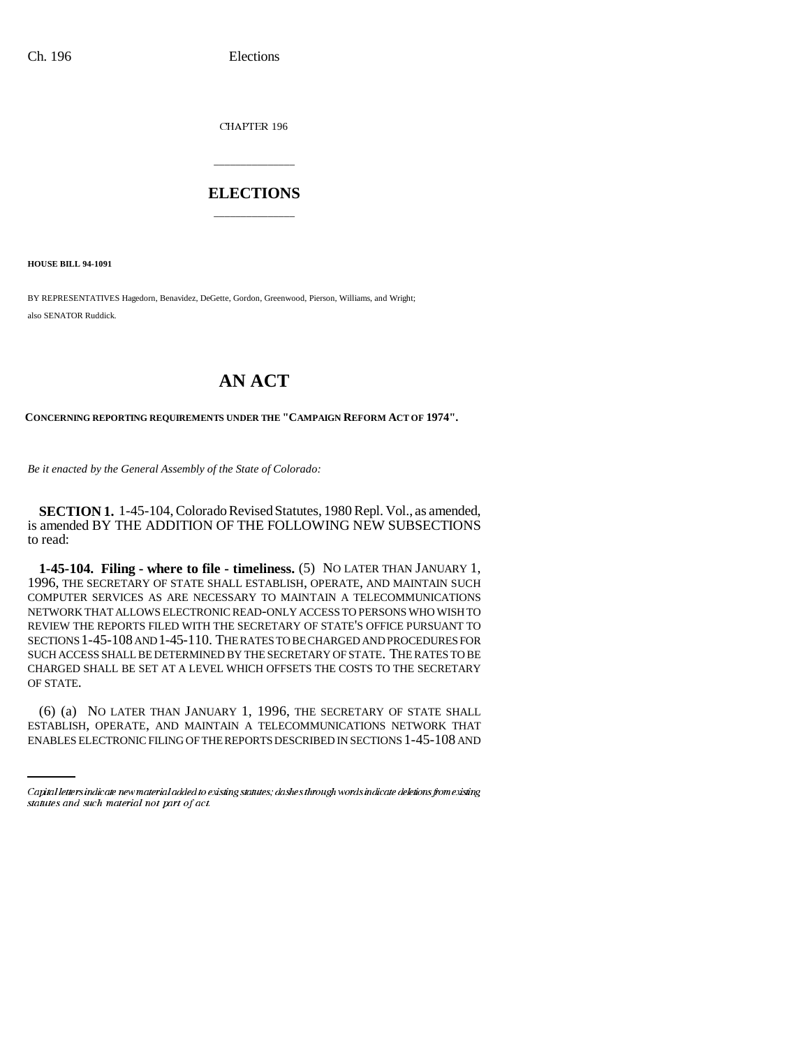Ch. 196 Elections

CHAPTER 196

## **ELECTIONS** \_\_\_\_\_\_\_\_\_\_\_\_\_\_\_

\_\_\_\_\_\_\_\_\_\_\_\_\_\_\_

**HOUSE BILL 94-1091**

BY REPRESENTATIVES Hagedorn, Benavidez, DeGette, Gordon, Greenwood, Pierson, Williams, and Wright; also SENATOR Ruddick.

## **AN ACT**

**CONCERNING REPORTING REQUIREMENTS UNDER THE "CAMPAIGN REFORM ACT OF 1974".**

*Be it enacted by the General Assembly of the State of Colorado:*

**SECTION 1.** 1-45-104, Colorado Revised Statutes, 1980 Repl. Vol., as amended, is amended BY THE ADDITION OF THE FOLLOWING NEW SUBSECTIONS to read:

**1-45-104. Filing - where to file - timeliness.** (5) NO LATER THAN JANUARY 1, 1996, THE SECRETARY OF STATE SHALL ESTABLISH, OPERATE, AND MAINTAIN SUCH COMPUTER SERVICES AS ARE NECESSARY TO MAINTAIN A TELECOMMUNICATIONS NETWORK THAT ALLOWS ELECTRONIC READ-ONLY ACCESS TO PERSONS WHO WISH TO REVIEW THE REPORTS FILED WITH THE SECRETARY OF STATE'S OFFICE PURSUANT TO SECTIONS 1-45-108 AND 1-45-110. THE RATES TO BE CHARGED AND PROCEDURES FOR SUCH ACCESS SHALL BE DETERMINED BY THE SECRETARY OF STATE. THE RATES TO BE CHARGED SHALL BE SET AT A LEVEL WHICH OFFSETS THE COSTS TO THE SECRETARY OF STATE.

(6) (a) NO LATER THAN JANUARY 1, 1996, THE SECRETARY OF STATE SHALL ESTABLISH, OPERATE, AND MAINTAIN A TELECOMMUNICATIONS NETWORK THAT ENABLES ELECTRONIC FILING OF THE REPORTS DESCRIBED IN SECTIONS 1-45-108 AND

Capital letters indicate new material added to existing statutes; dashes through words indicate deletions from existing statutes and such material not part of act.